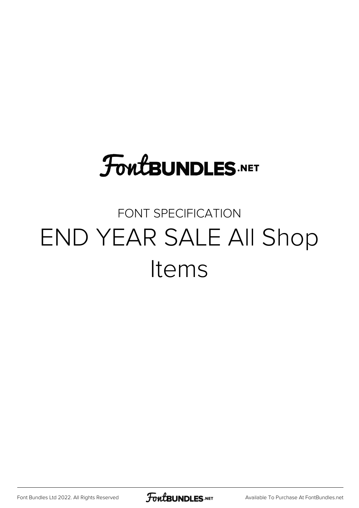# **FoutBUNDLES.NET**

### FONT SPECIFICATION END YEAR SALE All Shop Items

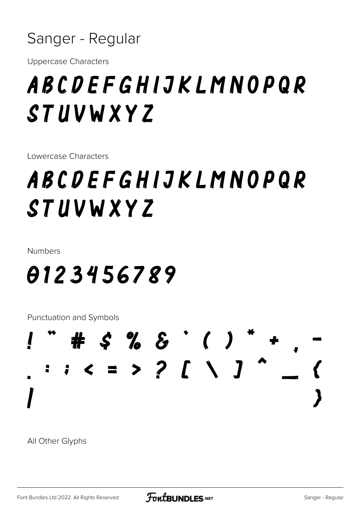

**Uppercase Characters** 

## A B C D E F G H I J K L M N O P Q R STUVWXYZ

Lowercase Characters

# A B C D E F G H I J K L M N O P Q R STUVWXYZ

**Numbers** 

### 0123456789

Punctuation and Symbols

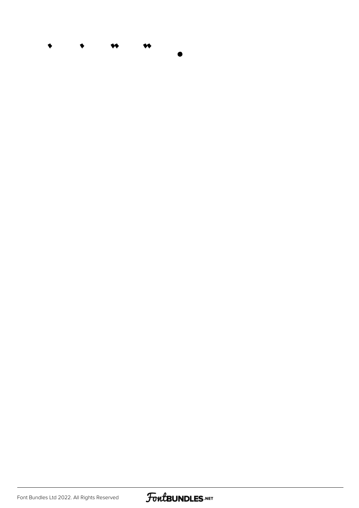| $\blacklozenge$ | $\bullet$ $\bullet$ $\bullet$ $\bullet$ |           |
|-----------------|-----------------------------------------|-----------|
|                 |                                         | $\bullet$ |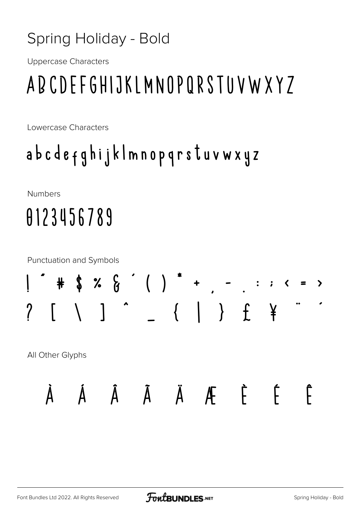#### Spring Holiday - Bold

**Uppercase Characters** 

# ABCDEFGHIJKLMNOPORSTUVWXYZ

Lowercase Characters

## abcdefghijklmnopqrstuvwxyz

Numbers

# 0123456789

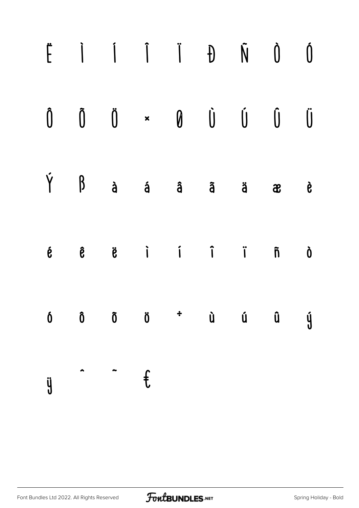|                                |                 |                 |   |        |                                    |   | $\tilde{N}$ 0                                                                                                  | Ó                    |
|--------------------------------|-----------------|-----------------|---|--------|------------------------------------|---|----------------------------------------------------------------------------------------------------------------|----------------------|
|                                |                 |                 |   |        |                                    |   | $\begin{matrix} \hat{0} & \tilde{0} & \tilde{0} & \star & \theta & \dot{0} & \dot{0} & \dot{0} & \end{matrix}$ | $\ddot{\textbf{U}}$  |
|                                |                 |                 |   |        | $\acute{\gamma}$ $\beta$ à á â ã ä |   | $\mathbf x$                                                                                                    | $\mathbf{\grave{e}}$ |
| $\boldsymbol{\acute{\text e}}$ |                 |                 |   |        |                                    |   | $\hat{e}$ $\ddot{e}$ i i i ñ                                                                                   | $\dot{0}$            |
| Ó                              | $\pmb{\hat{0}}$ | $\bf \tilde{0}$ | Ö | $\div$ | Ù                                  | Ú | $\hat{\mathsf{u}}$                                                                                             | Ý                    |
| ÿ                              |                 |                 | f |        |                                    |   |                                                                                                                |                      |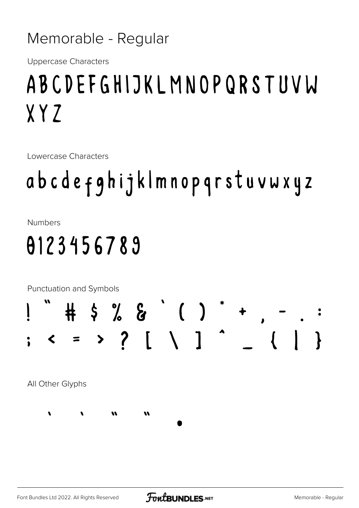#### Memorable - Regular

**Uppercase Characters** 

# ABCDEFGHIJKLMNOPORSTUVW XYZ

Lowercase Characters

# abcdefghijklmnopqrstuvwxyz

**Numbers** 

# 0123456789

Punctuation and Symbols  $# 5 % 8 ( ) *$ ļ  $\begin{pmatrix} 1 & 1 \\ 1 & 1 \end{pmatrix}$  $\rightarrow$  ? [ \ ] ^  $\overline{z}$  $\left\langle \right\rangle$ 

All Other Glyphs

 $\boldsymbol{u}$  $\bullet$  $\bullet$  $\boldsymbol{\prime}$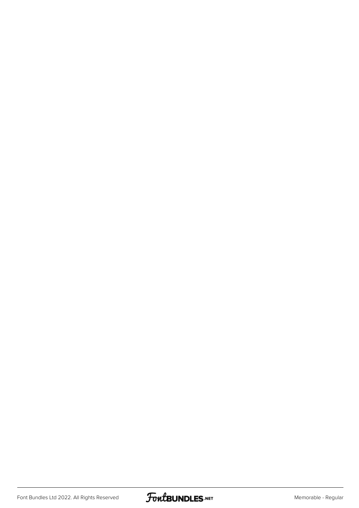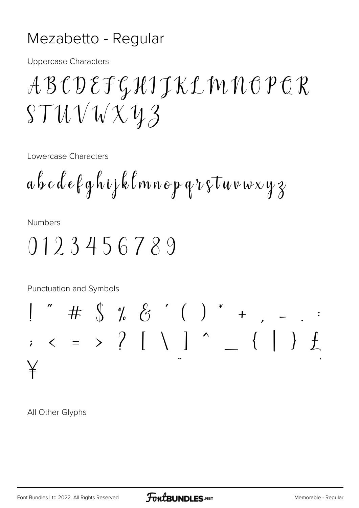#### Mezabetto - Regular

**Uppercase Characters** 

ABCDEFGHIJKLMNOPOR  $STUVVXY3$ 

Lowercase Characters

$$
a \not b \ c \not d \, e \, \beta \, g \, h \, \mathfrak{i} \, \mathfrak{j} \, \mathfrak{k} \, \ell \, m \, n \, \mathfrak{o} \, p \, q \, \mathfrak{i} \, \mathfrak{s} \, \overline{\iota} \, u \, \mathfrak{v} \, \mathfrak{w} \times \mathfrak{y} \, \mathfrak{z}
$$

**Numbers** 

Punctuation and Symbols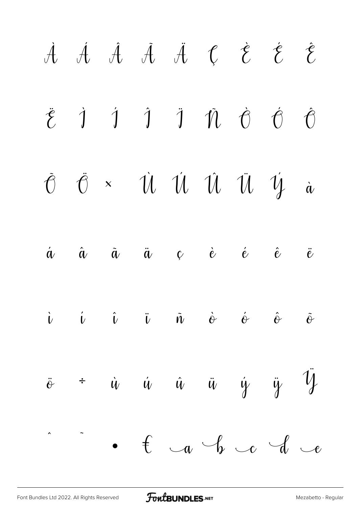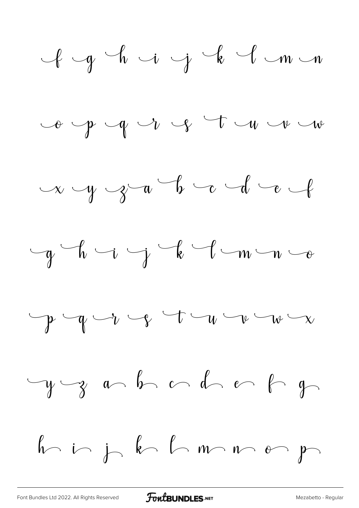$$
4944
$$
  
\n
$$
6944
$$
  
\n
$$
6944
$$
  
\n
$$
8944
$$
  
\n
$$
8944
$$
  
\n
$$
8944
$$
  
\n
$$
9944
$$
  
\n
$$
19944
$$
  
\n
$$
19944
$$
  
\n
$$
19944
$$
  
\n
$$
19944
$$
  
\n
$$
19944
$$
  
\n
$$
19944
$$
  
\n
$$
19944
$$
  
\n
$$
19944
$$
  
\n
$$
19944
$$
  
\n
$$
19944
$$
  
\n
$$
19944
$$
  
\n
$$
19944
$$
  
\n
$$
19944
$$
  
\n
$$
19944
$$
  
\n
$$
19944
$$
  
\n
$$
19944
$$
  
\n
$$
19944
$$
  
\n
$$
19944
$$
  
\n
$$
19944
$$
  
\n
$$
19944
$$
  
\n
$$
19944
$$
  
\n
$$
19944
$$
  
\n
$$
19944
$$
  
\n
$$
19944
$$
  
\n
$$
19944
$$
  
\n
$$
19944
$$
  
\n
$$
19944
$$
  
\n
$$
19944
$$
  
\n
$$
19944
$$
  
\n
$$
19944
$$
  
\n
$$
19944
$$
  
\n
$$
19944
$$
  
\n
$$
19944
$$
  
\n
$$
19944
$$
  
\n
$$
199444
$$
  
\n
$$
199444
$$
  
\n
$$
199444
$$
  
\n
$$
199444
$$
  
\n $$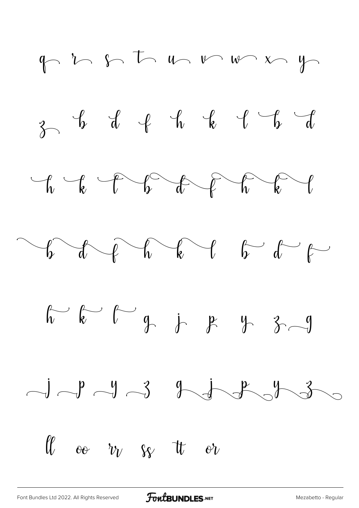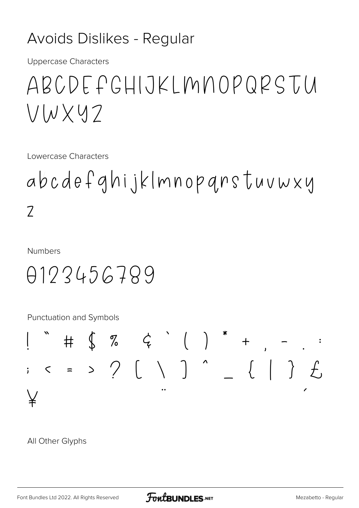#### Avoids Dislikes - Regular

**Uppercase Characters** 

## ABCDEFGHIJKLMNOPQRSTIN  $V/NXY2$

Lowercase Characters

abcdefghijklmnopqnstuvwxy  $\overline{Z}$ 

**Numbers** 

## 0123456789

Punctuation and Symbols

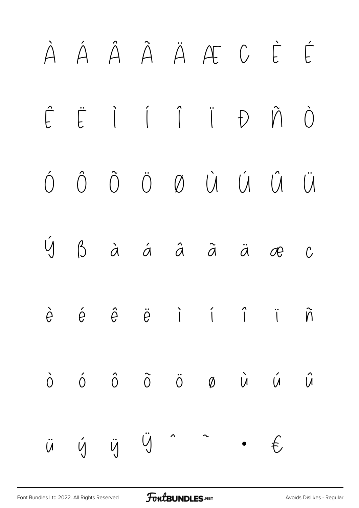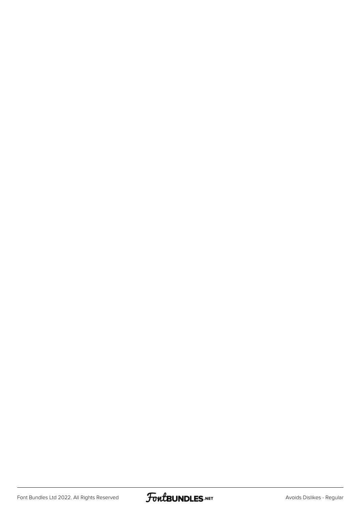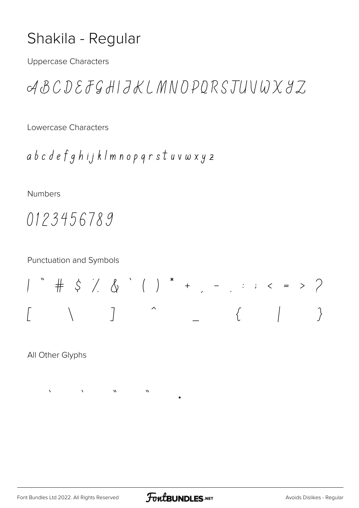#### Shakila - Regular

**Uppercase Characters** 

ABCDEFGHIJKLMNOPQRSJUVWXYZ

Lowercase Characters

abcdefghijklmnopqrstuvwxyz

**Numbers** 

0123456789

**Punctuation and Symbols** 



All Other Glyphs

 $\Delta \phi = \phi^2 \phi^2$  ,  $\Delta \phi = \phi^2 \phi^2$  , and  $\Delta \phi = \phi^2$  $\sim$  W

Font Bundles Ltd 2022. All Rights Reserved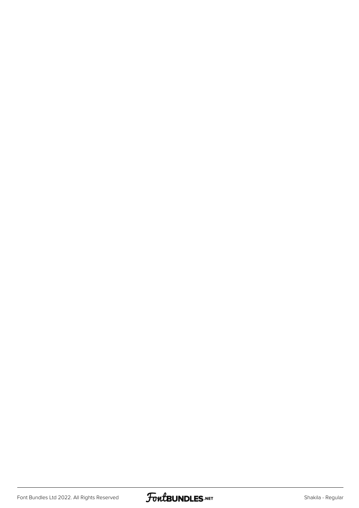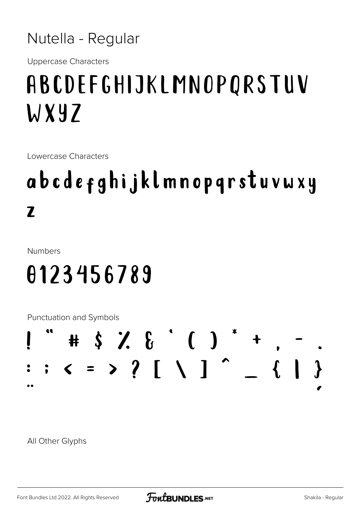Nutella - Regular

**Uppercase Characters** 

# ABCDEFGHIJKLMNOPQRSTUV  $W$  X Y  $Z$

Lowercase Characters

# abcdefghijklmnopgrstuvwxy  $\mathbf{Z}$

**Numbers** 

# 0123456789

**Punctuation and Symbols** 

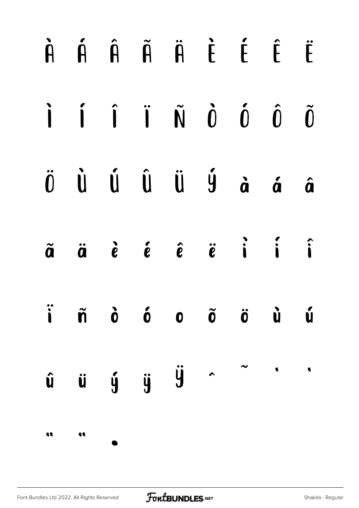|                         |  | À Á Â Ã Ä Ë É Ë Ë                                                                                                                                                                                                                                                                                                                                                                                                                                                                                     |  |  |
|-------------------------|--|-------------------------------------------------------------------------------------------------------------------------------------------------------------------------------------------------------------------------------------------------------------------------------------------------------------------------------------------------------------------------------------------------------------------------------------------------------------------------------------------------------|--|--|
|                         |  | <i>i</i> i i ñ d ó õ õ                                                                                                                                                                                                                                                                                                                                                                                                                                                                                |  |  |
|                         |  | ÖÙ Ú Û Ü Ű Ý à á â                                                                                                                                                                                                                                                                                                                                                                                                                                                                                    |  |  |
|                         |  | $\tilde{a}$ $\tilde{a}$ $\tilde{e}$ $\tilde{e}$ $\tilde{e}$ $\tilde{e}$ $\tilde{e}$ $\tilde{e}$ $\tilde{e}$ $\tilde{e}$ $\tilde{e}$ $\tilde{e}$ $\tilde{e}$ $\tilde{e}$ $\tilde{e}$ $\tilde{e}$ $\tilde{e}$ $\tilde{e}$ $\tilde{e}$ $\tilde{e}$ $\tilde{e}$ $\tilde{e}$ $\tilde{e}$ $\tilde{e}$ $\tilde{$                                                                                                                                                                                             |  |  |
|                         |  | iñ ò ó o õ ö ù ú                                                                                                                                                                                                                                                                                                                                                                                                                                                                                      |  |  |
|                         |  | $\hat{\mathbf{u}}\quad \hat{\mathbf{u}}\quad \hat{\mathbf{y}}\quad \hat{\mathbf{y}}\quad \hat{\mathbf{y}}\quad \hat{\mathbf{y}}\quad \hat{\mathbf{y}}\quad \hat{\mathbf{y}}\quad \hat{\mathbf{y}}\quad \hat{\mathbf{y}}\quad \hat{\mathbf{y}}\quad \hat{\mathbf{y}}\quad \hat{\mathbf{y}}\quad \hat{\mathbf{y}}\quad \hat{\mathbf{y}}\quad \hat{\mathbf{y}}\quad \hat{\mathbf{y}}\quad \hat{\mathbf{y}}\quad \hat{\mathbf{y}}\quad \hat{\mathbf{y}}\quad \hat{\mathbf{y}}\quad \hat{\mathbf{y}}\quad$ |  |  |
| $\overline{\mathbf{u}}$ |  |                                                                                                                                                                                                                                                                                                                                                                                                                                                                                                       |  |  |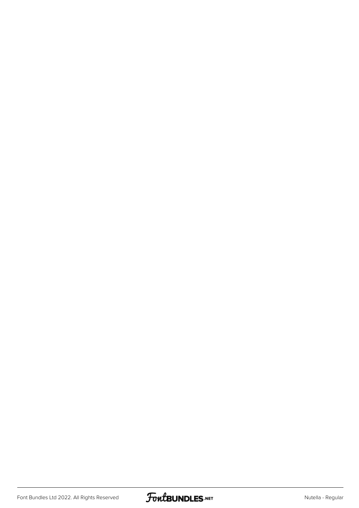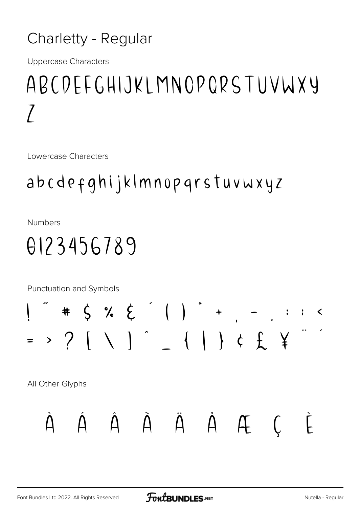#### Charletty - Regular

**Uppercase Characters** 

# ABCDEFGHIJKLMNOPORSTUVWXY  $\overline{I}$

Lowercase Characters

#### abcdefghijklmnopgrstuvwxyz

**Numbers** 

## 0123456789

Punctuation and Symbols

 $*$   $\uparrow$   $\uparrow$   $\uparrow$   $\uparrow$   $\uparrow$   $\uparrow$   $\uparrow$   $\uparrow$   $\uparrow$   $\uparrow$   $\uparrow$   $\uparrow$   $\uparrow$   $\uparrow$   $\uparrow$   $\uparrow$   $\uparrow$   $\uparrow$   $\uparrow$   $\uparrow$   $\uparrow$ = > ? [ \ ] ^ \_ { | } ¢ £ \ ^ \_ ^

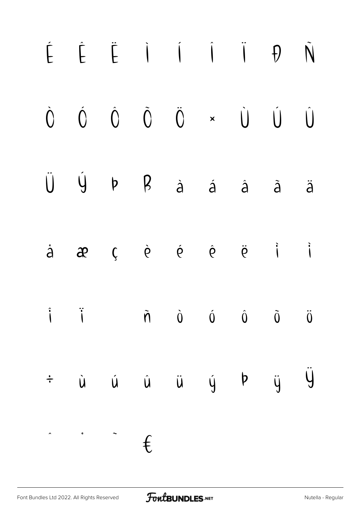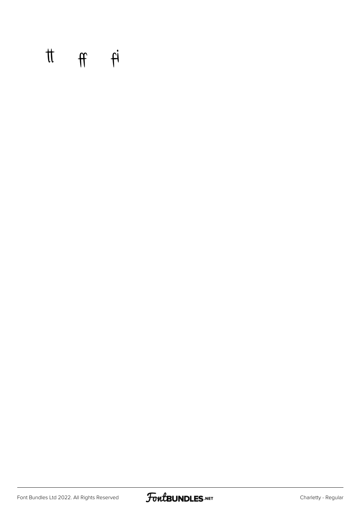### ff fi

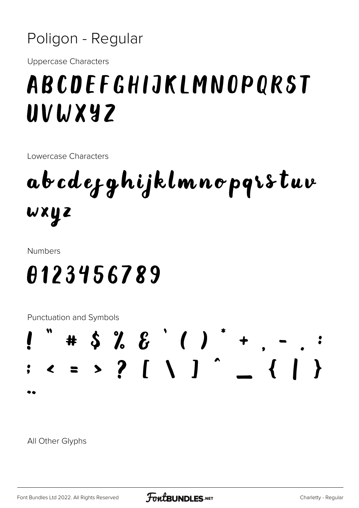#### Poligon - Regular

**Uppercase Characters** 

# ABCDEFGHIJKLMNOPORST UVWXYZ

Lowercase Characters

# abcdefghijklmnopqistuv wxyz

**Numbers** 

## 0123456789

Punctuation and Symbols

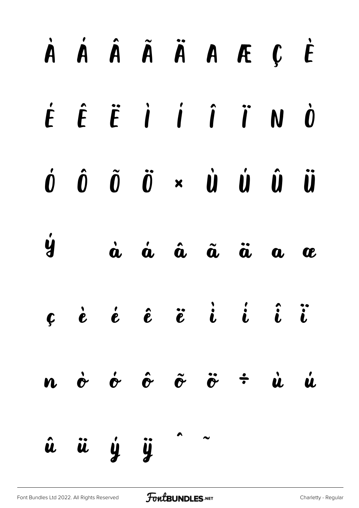# À Á Â Ã Ä Å Æ Ç È É Ê Ë Ì Í Î Ï Ñ Ò Ó Ô Õ Ö × Ù Ú Û Ü Ý à á â ã ä å æ  $c$  è é  $\hat{e}$  ë  $\dot{c}$  i  $\dot{i}$   $\dot{i}$  $\boldsymbol{n}$   $\dot{\boldsymbol{\sigma}}$   $\dot{\boldsymbol{\sigma}}$   $\ddot{\boldsymbol{\sigma}}$   $\ddot{\boldsymbol{\sigma}}$   $\ddot{\boldsymbol{\sigma}}$   $\ddot{\boldsymbol{\sigma}}$   $\ddot{\boldsymbol{\sigma}}$   $\ddot{\boldsymbol{\sigma}}$   $\dot{\boldsymbol{\omega}}$   $\dot{\boldsymbol{u}}$ û ü ý ÿ  $\sim$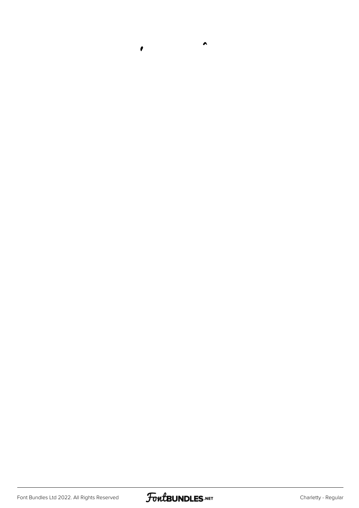

 $\epsilon$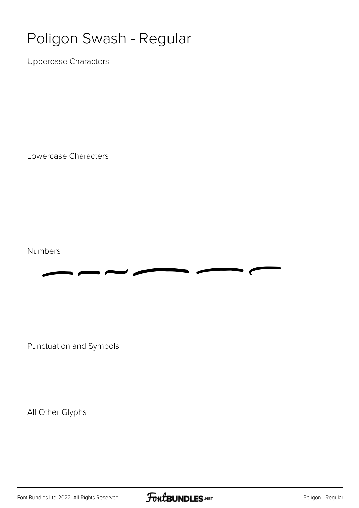#### Poligon Swash - Regular

Uppercase Characters

Lowercase Characters

Numbers

 $\overline{\phantom{a}}$ 

Punctuation and Symbols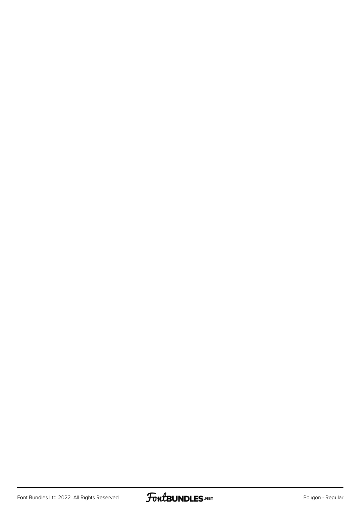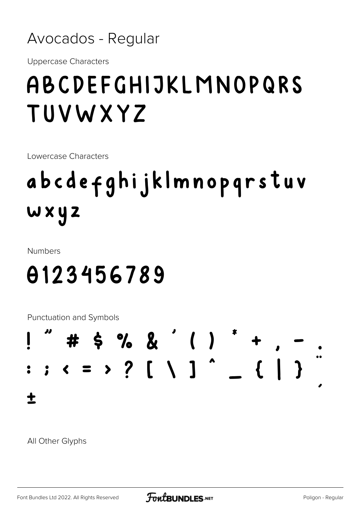

**Uppercase Characters** 

## ABCDEFGHIJKLMNOPQRS TUVWXYZ

Lowercase Characters

# abcdefghijklmnopqrstuv wxyz

**Numbers** 

## 0123456789

Punctuation and Symbols

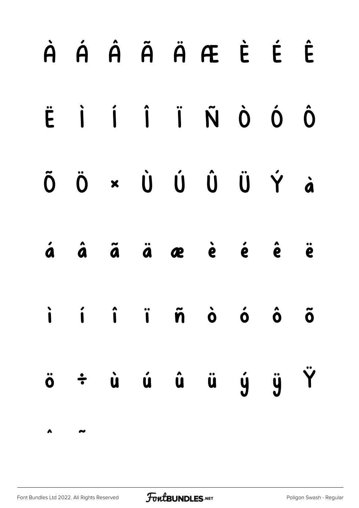|  |  | À Á Â Ã Ä Æ È É Ê |  |  |
|--|--|-------------------|--|--|
|  |  | Ë İ Í Ï Ï Ñ Ò Ó Ô |  |  |
|  |  | ÕÖ×ÙÚŮÜÝ à        |  |  |
|  |  | á â ã ä æ è é ë ë |  |  |
|  |  | i í î ï ñ ò ó ô õ |  |  |
|  |  | ö ÷ ù ú û ü ý ÿ Ÿ |  |  |
|  |  |                   |  |  |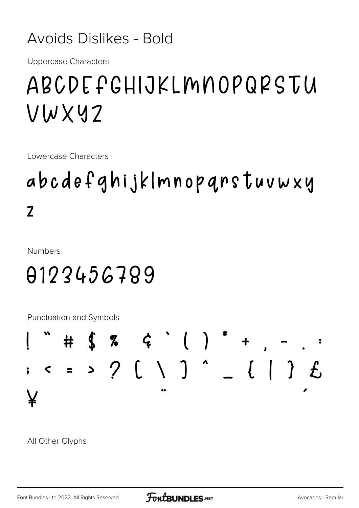#### **Avoids Dislikes - Bold**

**Uppercase Characters** 

## ABCDEFGHIJKLMNOPQRSTU VWXYZ

Lowercase Characters

# abcdefghijklmnopanstuvwxy  $\overline{z}$

**Numbers** 

## 0123456789

Punctuation and Symbols

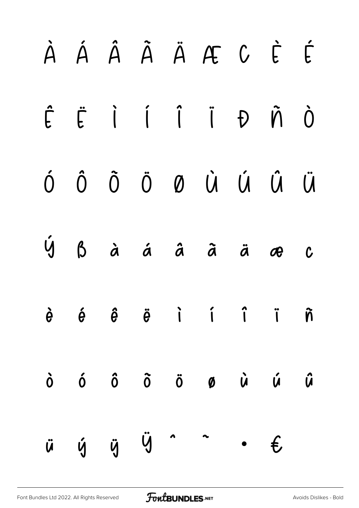|  |  | À Á Â Ã Ä Æ C È É                                                                                                                                                                                                                                                                                                                                                                                                             |  |  |
|--|--|-------------------------------------------------------------------------------------------------------------------------------------------------------------------------------------------------------------------------------------------------------------------------------------------------------------------------------------------------------------------------------------------------------------------------------|--|--|
|  |  | $\hat{E}$ $\ddot{E}$ $\dot{I}$ $\ddot{I}$ $\ddot{B}$ $\ddot{O}$                                                                                                                                                                                                                                                                                                                                                               |  |  |
|  |  | $\begin{matrix} \dot{D} & \dot{D} & \dot{D} & \dot{D} & \dot{D} & \dot{D} & \dot{D} & \dot{D} & \dot{D} & \dot{D} & \dot{D} & \dot{D} & \dot{D} & \dot{D} & \dot{D} & \dot{D} & \dot{D} & \dot{D} & \dot{D} & \dot{D} & \dot{D} & \dot{D} & \dot{D} & \dot{D} & \dot{D} & \dot{D} & \dot{D} & \dot{D} & \dot{D} & \dot{D} & \dot{D} & \dot{D} & \dot{D} & \dot{D} & \dot{D} & \dot{D}$                                        |  |  |
|  |  | Ý B à á â ã ä æ c                                                                                                                                                                                                                                                                                                                                                                                                             |  |  |
|  |  | $\dot{\theta}$ $\dot{\theta}$ $\ddot{\theta}$ $\ddot{\theta}$ $\dot{\theta}$ $\dot{\theta}$ $\dot{\theta}$ $\dot{\theta}$ $\dot{\theta}$ $\dot{\theta}$ $\dot{\theta}$ $\dot{\theta}$ $\dot{\theta}$ $\dot{\theta}$ $\dot{\theta}$ $\dot{\theta}$ $\dot{\theta}$ $\dot{\theta}$ $\dot{\theta}$ $\dot{\theta}$ $\dot{\theta}$ $\dot{\theta}$ $\dot{\theta}$ $\dot{\theta}$ $\dot{\theta}$ $\dot{\theta}$ $\dot{\theta}$ $\dot$ |  |  |
|  |  | $\dot{0}$ $\dot{0}$ $\dot{0}$ $\ddot{0}$ $\ddot{0}$ $\ddot{0}$ $\dot{0}$ $\ddot{0}$                                                                                                                                                                                                                                                                                                                                           |  |  |
|  |  | $\ddot{u}$ $\dot{y}$ $\ddot{y}$ $\ddot{y}$ $\ddot{y}$ $\ddot{z}$                                                                                                                                                                                                                                                                                                                                                              |  |  |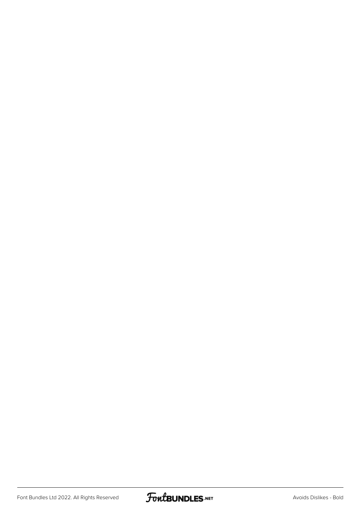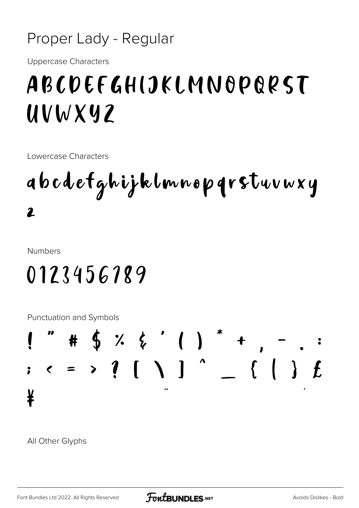#### Proper Lady - Regular

**Uppercase Characters** 

# ABCDEFGHIJKLMNOPQRST  $UVWXY2$

Lowercase Characters

abcdefghijklmnopqrstuvwxy  $\boldsymbol{2}$ 

**Numbers** 

## 0123456189

Punctuation and Symbols

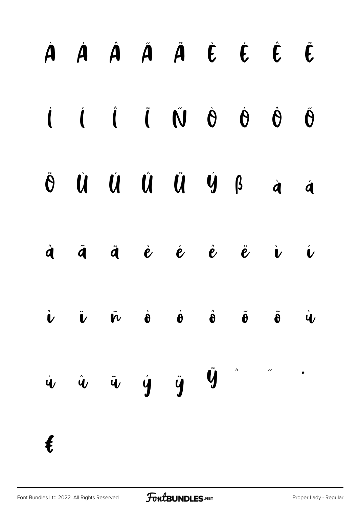|                  |  |  | $\dot{A}$ $\dot{A}$ $\dot{A}$ $\ddot{A}$ $\dot{B}$ $\dot{C}$ $\dot{C}$                                                                                                                                           |              |
|------------------|--|--|------------------------------------------------------------------------------------------------------------------------------------------------------------------------------------------------------------------|--------------|
|                  |  |  | 0 0 0 0 0 1 1 1 1                                                                                                                                                                                                |              |
|                  |  |  | $\ddot{\theta}$ $\dot{\theta}$ $\dot{\theta}$ $\dot{\theta}$ $\ddot{\theta}$ $\ddot{\theta}$ $\dot{\theta}$ $\dot{\theta}$ $\dot{\theta}$ $\dot{\theta}$ $\dot{\theta}$ $\dot{\theta}$                           |              |
|                  |  |  | $\dot{a}$ $\ddot{a}$ $\ddot{a}$ $\dot{e}$ $\dot{e}$ $\dot{e}$ $\ddot{e}$ $\dot{v}$ $\dot{v}$                                                                                                                     |              |
|                  |  |  | $\hat{\mathbf{u}}$ $\hat{\mathbf{u}}$ $\hat{\mathbf{v}}$ $\hat{\mathbf{v}}$ $\hat{\mathbf{v}}$ $\hat{\mathbf{v}}$ $\hat{\mathbf{v}}$ $\hat{\mathbf{v}}$ $\hat{\mathbf{v}}$ $\hat{\mathbf{v}}$ $\hat{\mathbf{v}}$ | $\mathbf{u}$ |
|                  |  |  | $\dot{u}$ $\dot{u}$ $\ddot{y}$ $\ddot{y}$ $\ddot{y}$ $\dddot{y}$ $\dddot{y}$                                                                                                                                     |              |
| $\boldsymbol{t}$ |  |  |                                                                                                                                                                                                                  |              |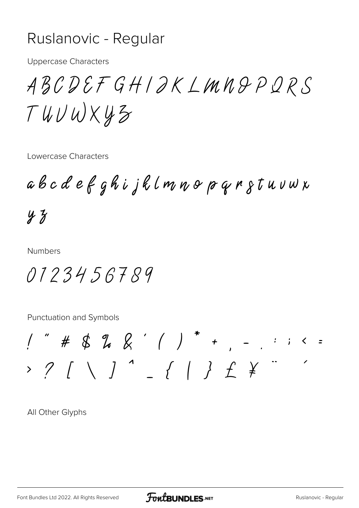#### Ruslanovic - Regular

**Uppercase Characters** 

ABCDEFGHIƏKLMNOPQRS  $TUVWXYZ$ 

Lowercase Characters

a b c d e f g h i j k l m n o p q r g t u v w x  $47$ 

**Numbers** 

0123456789

Punctuation and Symbols

 $1''$  # \$ 2 & ' ( ) \* + , - . . . < =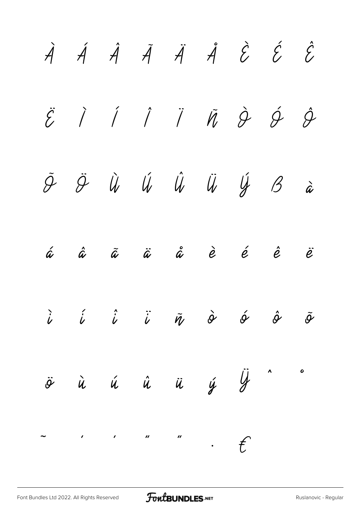|                      | $\dot{A}$ $\dot{A}$ $\dot{A}$ $\ddot{A}$ $\ddot{A}$ $\dot{C}$ $\dot{C}$                                                                                                         |  |  |  |                          |
|----------------------|---------------------------------------------------------------------------------------------------------------------------------------------------------------------------------|--|--|--|--------------------------|
|                      | $\ddot{\mathcal{E}}$ ) ( )   $\ddot{\mathcal{N}}$ ) $\dot{\mathcal{Y}}$                                                                                                         |  |  |  |                          |
|                      | $\tilde{\partial}$ $\ddot{\partial}$ $\dot{\mathcal{U}}$ $\dot{\mathcal{U}}$ $\dot{\mathcal{U}}$ $\ddot{\mathcal{U}}$ $\dot{\mathcal{Y}}$ $\dot{\mathcal{G}}$ $\dot{\tilde{a}}$ |  |  |  |                          |
|                      | $\hat{\omega}$ $\hat{\omega}$ $\tilde{\omega}$ $\tilde{\omega}$ $\hat{\omega}$ $\hat{e}$ $\hat{e}$ $\tilde{e}$ $\tilde{e}$                                                      |  |  |  |                          |
|                      | $\hat{i}$ $\hat{i}$ $\hat{i}$ $\hat{i}$ $\tilde{w}$ $\hat{\phi}$ $\hat{\phi}$ $\tilde{\phi}$ $\tilde{\phi}$                                                                     |  |  |  |                          |
|                      | ö ù ú û ü ý Ÿ                                                                                                                                                                   |  |  |  | $\overline{\phantom{a}}$ |
| $\ddot{\phantom{0}}$ | $\cdot$ , , , , , $\epsilon$                                                                                                                                                    |  |  |  |                          |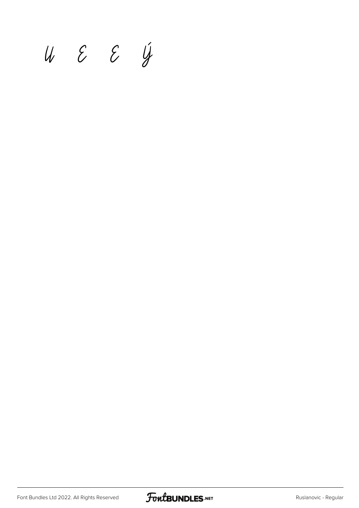$U \quad \mathcal{E} \quad \mathcal{E} \quad \mathcal{Y}$ 

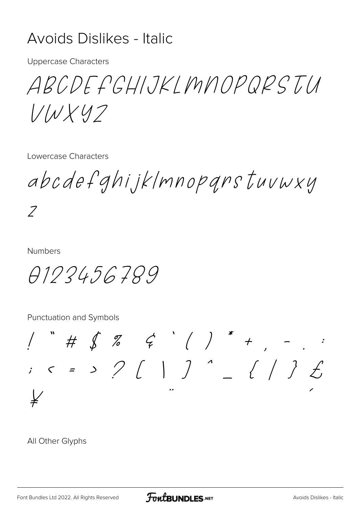#### Avoids Dislikes - Italic

**Uppercase Characters** 

ABCDE FGHIJKLMNOPQRSTU *VWX47* 

Lowercase Characters

abcdefghijklmnopanstuvwxy

 $\overline{\mathcal{I}}$ 

Numbers

0122456789

Punctuation and Symbols

 $\begin{array}{ccccccccc} \frac{1}{2} & \frac{1}{2} & \frac{1}{2} & \frac{1}{2} & \frac{1}{2} & \frac{1}{2} & \frac{1}{2} & \frac{1}{2} & \frac{1}{2} & \frac{1}{2} & \frac{1}{2} & \frac{1}{2} & \frac{1}{2} & \frac{1}{2} & \frac{1}{2} & \frac{1}{2} & \frac{1}{2} & \frac{1}{2} & \frac{1}{2} & \frac{1}{2} & \frac{1}{2} & \frac{1}{2} & \frac{1}{2} & \frac{1}{2} & \frac{1}{2} & \frac{1}{2} & \frac{$  $\downarrow$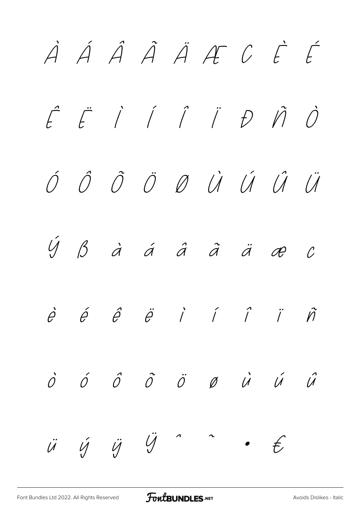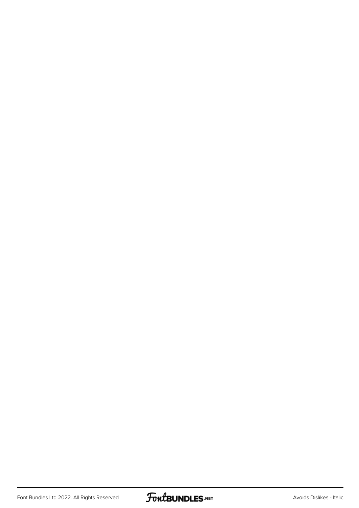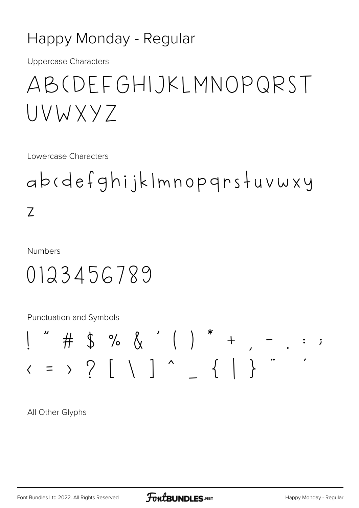#### Happy Monday - Regular

**Uppercase Characters** 

#### ABCDEFGHIJKLMNOPQRST UVWXYZ

Lowercase Characters

abidefghijkImnopqrstuvwxy  $Z$ 

**Numbers** 

#### 0123456789

Punctuation and Symbols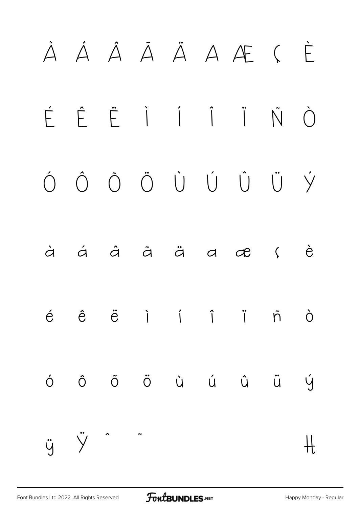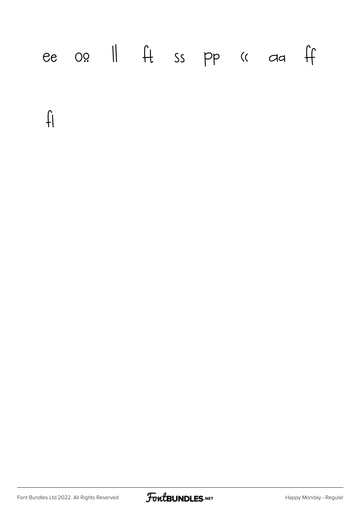#### ee oo II ft ss pp (< aa ff

 $\int$ 

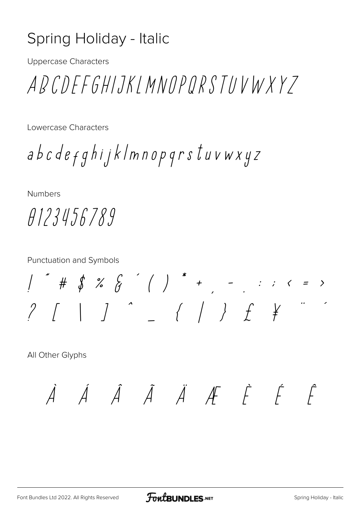#### Spring Holiday - Italic

**Uppercase Characters** 

ARCDFFGHIJKI MNOPORSTIJ V W X Y Z

Lowercase Characters

abcdefghijklmnopqrstuvwxyz

**Numbers** 

8123456789

Punctuation and Symbols

 $\int_{0}^{+\infty} \frac{dt}{t} \int_{0}^{t} \frac{dt}{t} dt \int_{0}^{t} \frac{dt}{t} dt \int_{0}^{t} \frac{dt}{t} dt \int_{0}^{t} \frac{dt}{t} dt \int_{0}^{t} \frac{dt}{t} dt \int_{0}^{t} \frac{dt}{t} dt \int_{0}^{t} \frac{dt}{t} dt \int_{0}^{t} \frac{dt}{t} dt \int_{0}^{t} \frac{dt}{t} dt \int_{0}^{t} \frac{dt}{t} dt \int_{0}^{t} \frac{dt}{t} dt \int_{0}^{t} \frac{dt}{t} dt \int_{0}^{t} \frac{$  $?$  [ | ]  $^{\circ}$  ( | } f \  $\frac{1}{2}$ 

All Other Glyphs

 $\dot{A}$   $\dot{A}$   $\dot{A}$   $\ddot{A}$   $\ddot{A}$   $\ddot{F}$   $\dot{F}$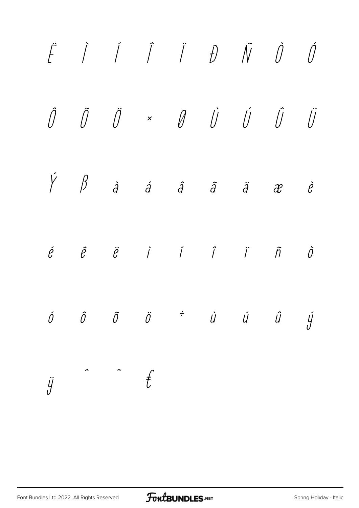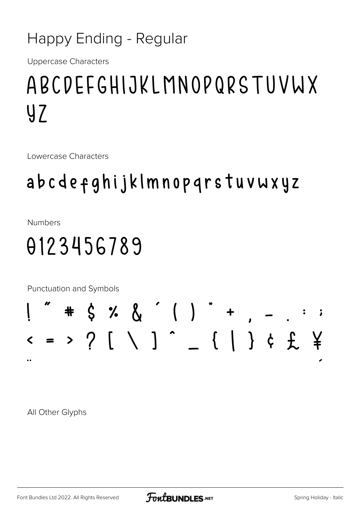#### Happy Ending - Regular

**Uppercase Characters** 

# ABCDEFGHIJKLMNOPQRSTUVWX  $yz$

Lowercase Characters

#### abcdefghijklmnopqrstuvwxyz

**Numbers** 

#### 0123456789

Punctuation and Symbols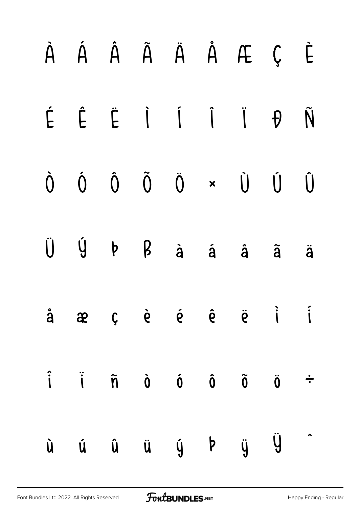|  |  |  | À Á Â Ã Ä Å Æ Ç È                                                                                                                                                         |  |
|--|--|--|---------------------------------------------------------------------------------------------------------------------------------------------------------------------------|--|
|  |  |  | É Ê Ë İ İ İ İ Đ Ñ                                                                                                                                                         |  |
|  |  |  | $\begin{matrix} \dot{0} & \dot{0} & \dot{0} & \ddot{0} & \ddot{0} & \star & \dot{0} & \dot{0} & \dot{0} \end{matrix}$                                                     |  |
|  |  |  | $\ddot{\theta} \quad \dot{\theta} \quad \dot{\theta} \quad \dot{\theta} \quad \dot{\theta} \quad \dot{\theta} \quad \dot{\theta} \quad \ddot{\theta} \quad \ddot{\theta}$ |  |
|  |  |  | $\dot{a}$ az $\zeta$ è $\dot{e}$ $\dot{e}$ $\ddot{e}$ $\ddot{e}$ $\ddot{i}$ i                                                                                             |  |
|  |  |  | $\hat{i}$ $\hat{i}$ $\hat{n}$ $\hat{0}$ $\hat{0}$ $\hat{0}$ $\hat{0}$ $\hat{0}$ $\hat{\cdot}$                                                                             |  |
|  |  |  | ù ú û ü ý þ ÿ Ÿ                                                                                                                                                           |  |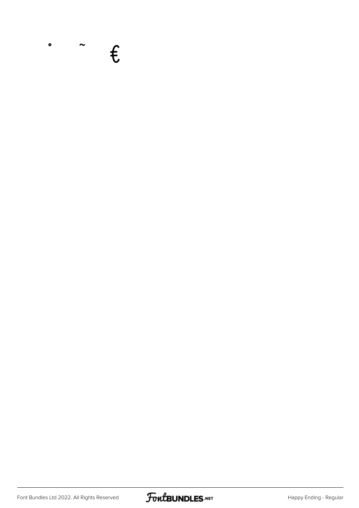#### $\sim$  $\epsilon$  $\bullet$

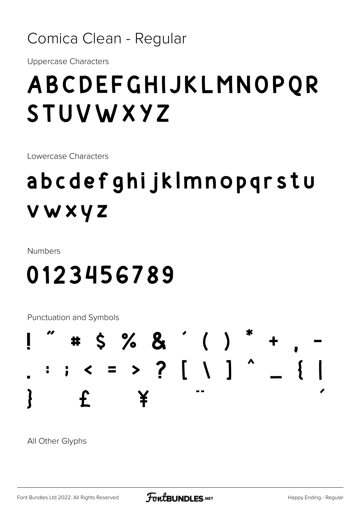#### Comica Clean - Regular

**Uppercase Characters** 

# ABCDEFGHIJKLMNOPQR STUVWXYZ

Lowercase Characters

# abcdefghijklmnopqrstu VWXYZ

**Numbers** 

# 0123456789

Punctuation and Symbols

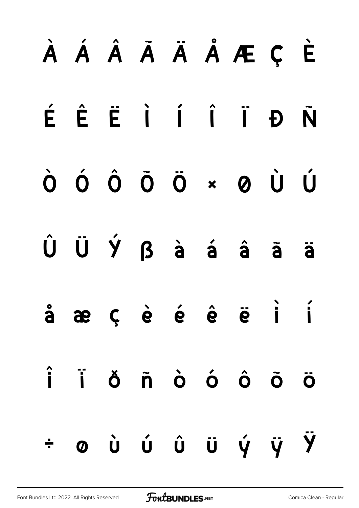# À Á Â Ã Ä Å Æ Ç È É Ê Ë Ì Í Î Ï Ð Ñ Ò Ó Ô Õ Ö × Ø Ù Ú Û Ü Ý ß à á â ã ä å æ ç è é ê ë ì í î ï ð ñ ò ó ô õ ö ÷ ø ù ú û ü ý ÿ Ÿ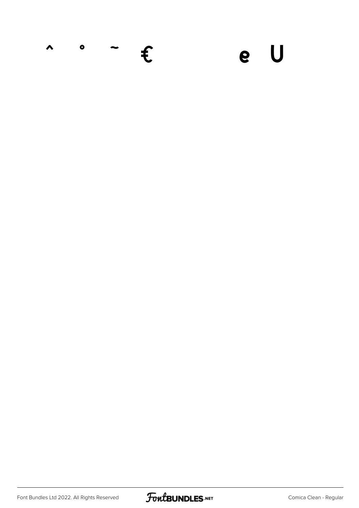#### $\frac{1}{2}$   $\frac{1}{2}$ e U  $\ddot{\phantom{1}}$

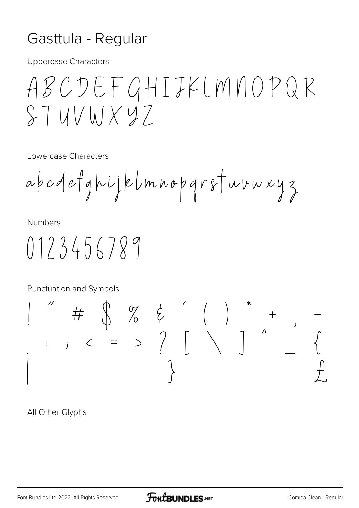#### Gasttula - Regular

**Uppercase Characters** 

ABCDEFGHIJKLMNOPQR  $STUVWXXZZ$ 

Lowercase Characters

**Numbers** 

 $0173456789$ 

Punctuation and Symbols

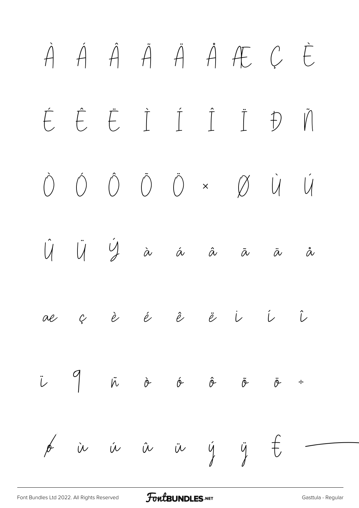# À Á Â Ã Ä Å Æ Ç È É Ê Ë Ì Í Î Ï Ð Ñ Ò Ó Ô Õ Ö × Ø Ù Ú  $\hat{U}$   $\hat{U}$   $\hat{V}$  à á á ã å å æ ç è é ê ë ì í î ï ð ñ ò ó ô õ ö ÷  $\phi$  is in in in ig  $\phi$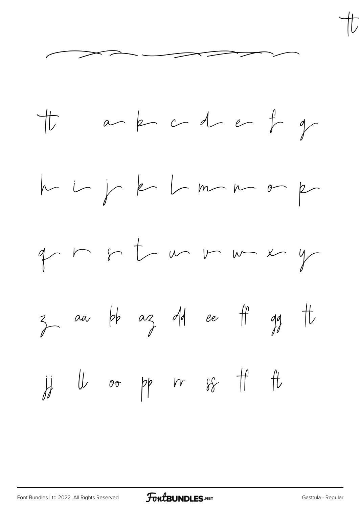

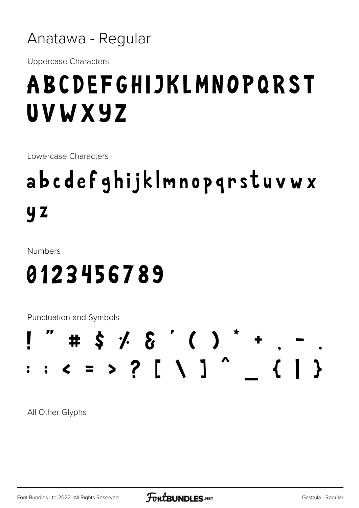

**Uppercase Characters** 

## **ABCDEFGHIJKLMNOPQRST** UVWXYZ

Lowercase Characters

# abcdefghijklmnopqrstuvwx  $\overline{y}$  z

**Numbers** 

#### 0123456789

Punctuation and Symbols

#### $\#$  \$  $\frac{1}{2}$  {  $\frac{1}{2}$  { } ļ  $\frac{1}{2}$   $\frac{1}{2}$   $\frac{1}{2}$   $\frac{1}{2}$   $\frac{1}{2}$   $\frac{1}{2}$  $\{ \quad | \quad \}$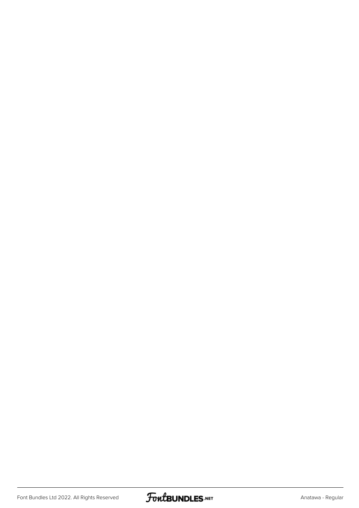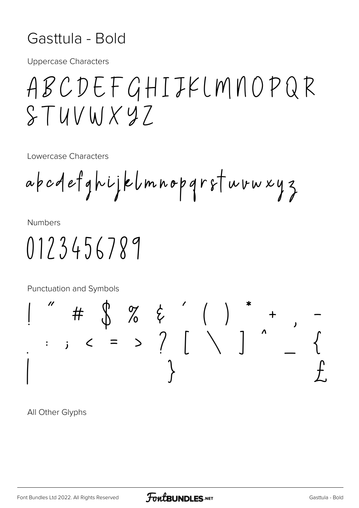#### Gasttula - Bold

**Uppercase Characters** 

# ABCDEFGHIJKLMNOPQR  $STUVWXXZZ$

Lowercase Characters

apodefghijklmnopgrstuuwxyz

**Numbers** 

0123456789

Punctuation and Symbols

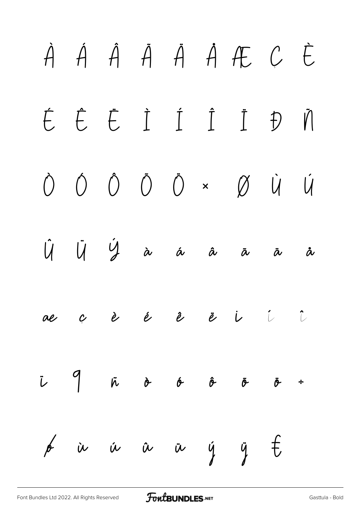# **À Á Â Ã Ä Å Æ Ç È É Ê Ë Ì Í Î Ï Ð Ñ Ò Ó Ô Õ Ö × Ø Ù Ú Û Ü Ý à á â ã ä å æ ç è é ê ë ì í î ï ð ñ ò ó ô õ ö ÷ ø ù ú û ü ý ÿ €**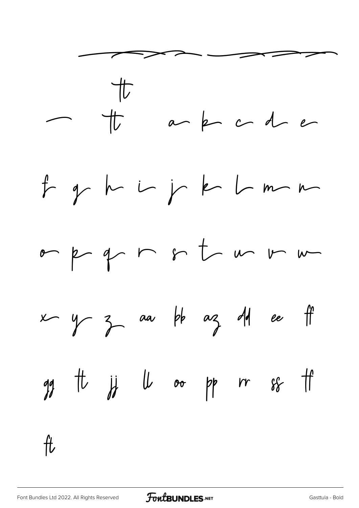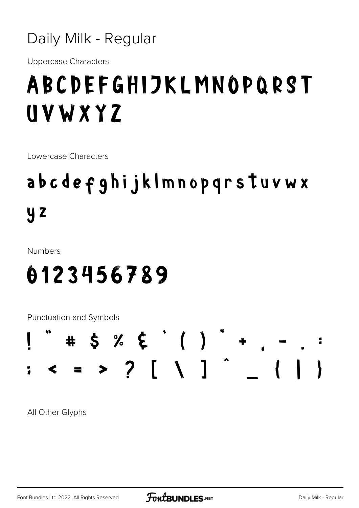#### Daily Milk - Regular

**Uppercase Characters** 

## **ABCDEFGHIJKLMNOPQRST** UVWXYZ

Lowercase Characters

# abcdefghijklmnopqrstuvwx  $y z$

**Numbers** 

#### 0123456789

Punctuation and Symbols

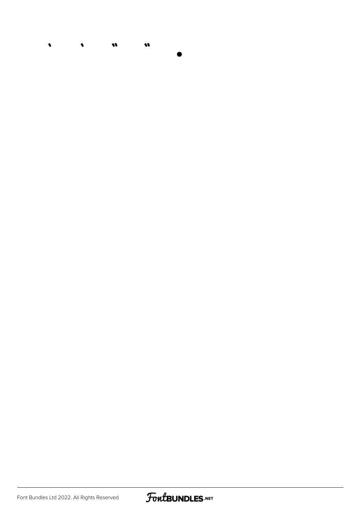| <b>Service State</b><br>$\blacklozenge$ | $\mathbf{u}$ $\mathbf{u}$ |  |
|-----------------------------------------|---------------------------|--|
|                                         |                           |  |

 $\bullet$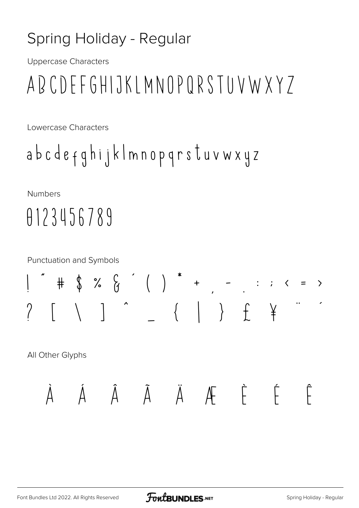#### Spring Holiday - Regular

**Uppercase Characters** 

# A B C D F F G H I J K I M N O P O R S T U V W X Y Z

Lowercase Characters

**Numbers** 

# 0123456789

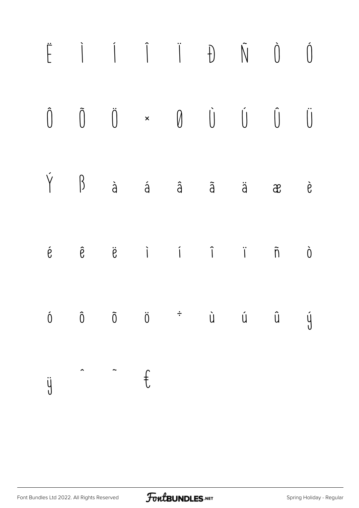|                        |  |                                   |  | $\ddot{E} \quad \dot{I} \quad \dot{I} \quad \ddot{I} \quad \dot{B} \quad \ddot{N} \quad \dot{0} \quad \dot{0}$                                                                                                                                                                                                                                                                                                                                                           |   |
|------------------------|--|-----------------------------------|--|--------------------------------------------------------------------------------------------------------------------------------------------------------------------------------------------------------------------------------------------------------------------------------------------------------------------------------------------------------------------------------------------------------------------------------------------------------------------------|---|
|                        |  |                                   |  | $\begin{matrix} \hat{\textbf{U}} & \tilde{\textbf{U}} & \tilde{\textbf{U}} & \times & \textbf{0} & \hat{\textbf{U}} & \hat{\textbf{U}} & \hat{\textbf{U}} & \hat{\textbf{U}} & \end{matrix}$                                                                                                                                                                                                                                                                             |   |
|                        |  |                                   |  | $\acute{\gamma}$ $\beta$ à á â ã ä æ è                                                                                                                                                                                                                                                                                                                                                                                                                                   |   |
|                        |  |                                   |  | $\begin{matrix} \hat{e} \quad & \hat{e} \quad & \ddots \end{matrix} \qquad \begin{matrix} \hat{e} \quad & \hat{e} \quad & \hat{e} \quad & \hat{e} \quad & \hat{e} \quad & \hat{e} \quad & \hat{e} \quad & \hat{e} \quad & \hat{e} \quad & \hat{e} \quad & \hat{e} \quad & \hat{e} \quad & \hat{e} \quad & \hat{e} \quad & \hat{e} \quad & \hat{e} \quad & \hat{e} \quad & \hat{e} \quad & \hat{e} \quad & \hat{e} \quad & \hat{e} \quad & \hat{e} \quad & \hat{e} \quad$ |   |
| $\mathfrak{\acute{0}}$ |  | $\hat{0}$ $\tilde{0}$ $\tilde{0}$ |  | $\dot{\tau}$ ù ú û                                                                                                                                                                                                                                                                                                                                                                                                                                                       | ý |
| ÿ                      |  | $\mathfrak{t}$                    |  |                                                                                                                                                                                                                                                                                                                                                                                                                                                                          |   |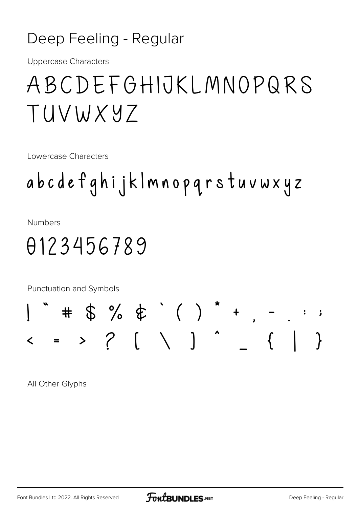#### Deep Feeling - Regular

**Uppercase Characters** 

## ABCDEFGHIJKLMNOPQRS TUVWXYZ

Lowercase Characters

**Numbers** 

#### 0123456789

Punctuation and Symbols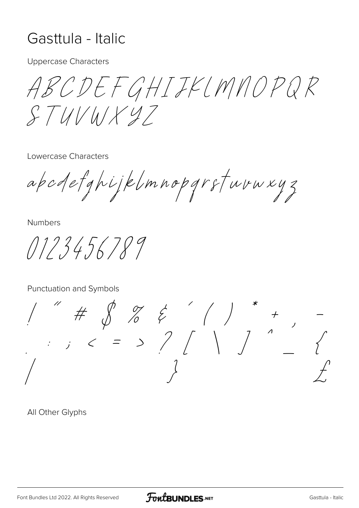#### Gasttula - Italic

**Uppercase Characters** 

ABCDEFGHIJKLMNOPQR  $STUVWXYY$ 

Lowercase Characters

apodetghijklmnopgrstuvuxyz

**Numbers** 

 $1173456789$ 

Punctuation and Symbols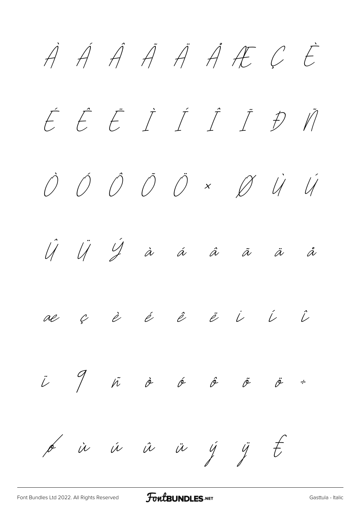*À Á Â Ã Ä Å Æ Ç È É Ê Ë Ì Í Î Ï Ð Ñ Ò Ó Ô Õ Ö × Ø Ù Ú Û Ü Ý à á â ã ä å æ ç è é ê ë ì í î ï ð ñ ò ó ô õ ö ÷ ø ù ú û ü ý ÿ €*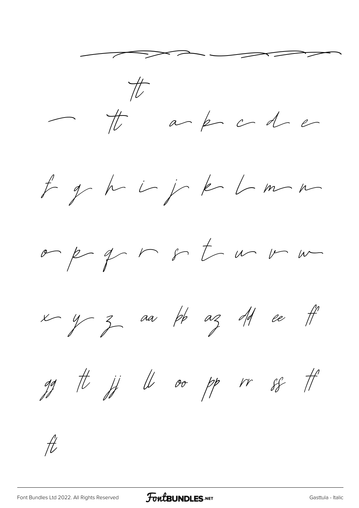$H$  $#$  and  $\epsilon$  de

 $f$  gr h is jr k l m n

org of motown

x y z aa pp az dl ee fl

gg tt jj ll oo pp vr ss tt



FontBUNDLES.NET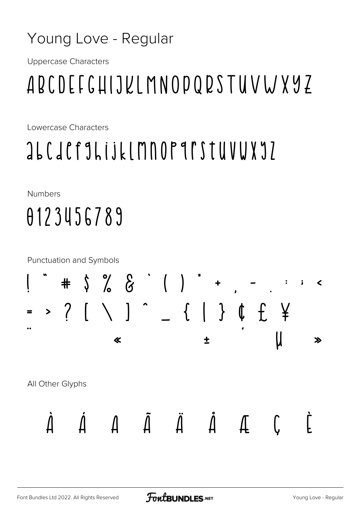#### Young Love - Regular

**Uppercase Characters** 

# ABCDEFGHIJKLMNODQRSTUVWXYZ

Lowercase Characters

# aLC definition operstuvuxiz

**Numbers** 

# 0123456789

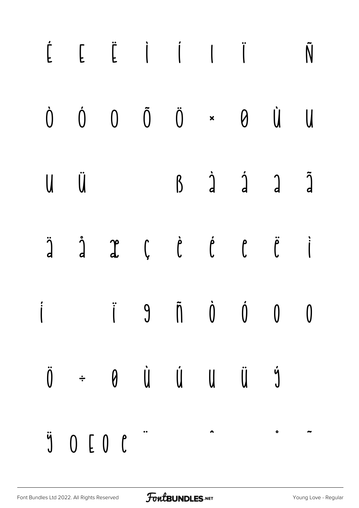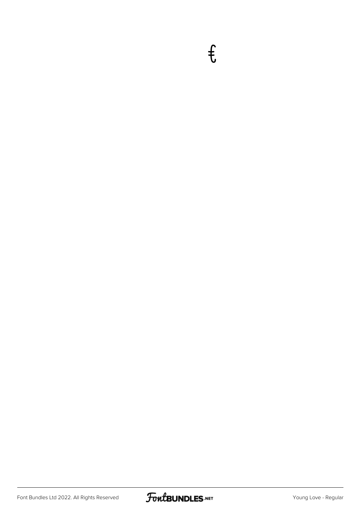€

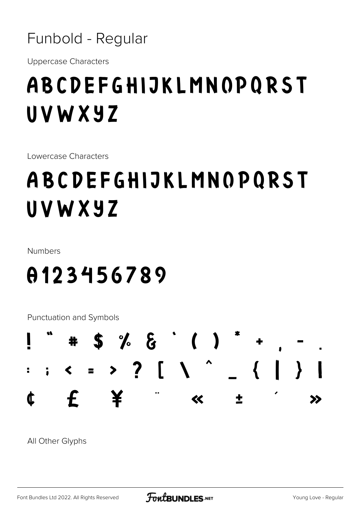Funbold - Regular

**Uppercase Characters** 

#### **ABCDEFGHIJKLMNOPQRST** UVWXYZ

Lowercase Characters

## **ABCDEFGHIJKLMNOPQRST** UVWXYZ

**Numbers** 

#### 0123456789

Punctuation and Symbols

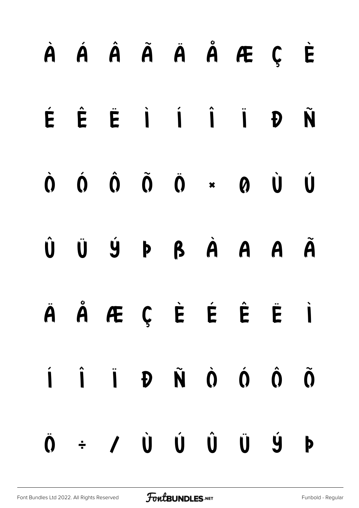|  |  |  | À Á Â Ã Ã Å Å Æ Ç È                                                                                                                                                                                                                                                                                                                                                                                                                                                                    |  |
|--|--|--|----------------------------------------------------------------------------------------------------------------------------------------------------------------------------------------------------------------------------------------------------------------------------------------------------------------------------------------------------------------------------------------------------------------------------------------------------------------------------------------|--|
|  |  |  | É Ê Ë İ Í İ Î Đ Ñ                                                                                                                                                                                                                                                                                                                                                                                                                                                                      |  |
|  |  |  | $\begin{matrix} \dot{\mathbf{0}} & \dot{\mathbf{0}} & \dot{\mathbf{0}} & \dot{\mathbf{0}} & \dot{\mathbf{0}} & \dot{\mathbf{0}} & \dot{\mathbf{0}} & \dot{\mathbf{0}} & \dot{\mathbf{0}} & \dot{\mathbf{0}} & \dot{\mathbf{0}} & \dot{\mathbf{0}} & \dot{\mathbf{0}} & \dot{\mathbf{0}} & \dot{\mathbf{0}} & \dot{\mathbf{0}} & \dot{\mathbf{0}} & \dot{\mathbf{0}} & \dot{\mathbf{0}} & \dot{\mathbf{0}} & \dot{\mathbf{0}} & \dot{\mathbf{0}} & \dot{\mathbf{0}} & \dot{\mathbf{0}}$ |  |
|  |  |  | Û Ü Ý Þ ß À A A Ã                                                                                                                                                                                                                                                                                                                                                                                                                                                                      |  |
|  |  |  | ÄÅÆÇÈÉĖË İ                                                                                                                                                                                                                                                                                                                                                                                                                                                                             |  |
|  |  |  | $\mathbf{i}$ $\mathbf{i}$ $\mathbf{j}$ $\mathbf{p}$ $\mathbf{N}$ $\mathbf{0}$ $\mathbf{0}$ $\mathbf{0}$ $\mathbf{0}$                                                                                                                                                                                                                                                                                                                                                                   |  |
|  |  |  | $\ddot{\theta}$ $\dot{\theta}$ $\dot{\theta}$ $\dot{\theta}$ $\dot{\theta}$ $\dot{\theta}$ $\dot{\theta}$ $\dot{\theta}$ $\dot{\theta}$ $\dot{\theta}$                                                                                                                                                                                                                                                                                                                                 |  |